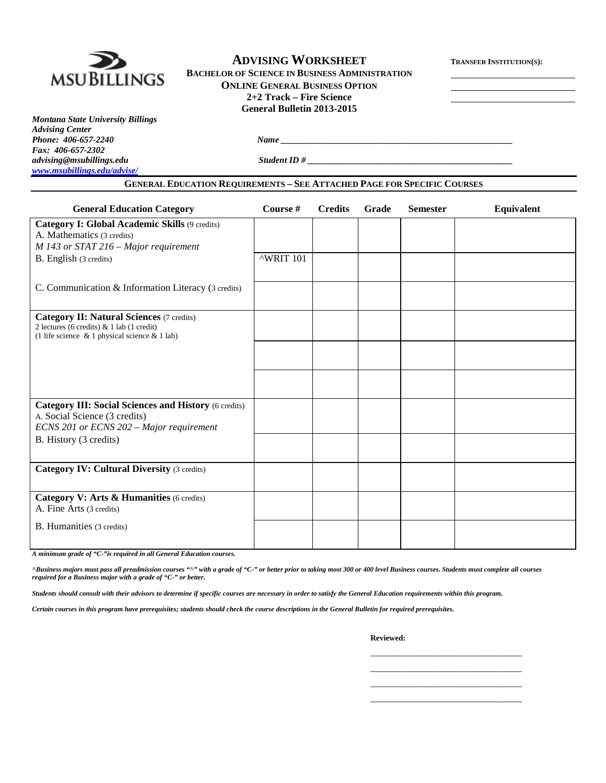

## **ADVISING WORKSHEET TRANSFER INSTITUTION(S):**

**BACHELOR OF SCIENCE IN BUSINESS ADMINISTRATION ONLINE GENERAL BUSINESS OPTION 2+2 Track – Fire Science General Bulletin 2013-2015**

*Montana State University Billings Advising Center Fax: 406-657-2302 [www.msubillings.edu/advise/](http://www.msubillings.edu/advise/)*

*advising@msubillings.edu Student ID # \_\_\_\_\_\_\_\_\_\_\_\_\_\_\_\_\_\_\_\_\_\_\_\_\_\_\_\_\_\_\_\_\_\_\_\_\_\_\_\_\_\_\_\_\_\_*

**GENERAL EDUCATION REQUIREMENTS – SEE ATTACHED PAGE FOR SPECIFIC COURSES**

*Phone: 406-657-2240 Name \_\_\_\_\_\_\_\_\_\_\_\_\_\_\_\_\_\_\_\_\_\_\_\_\_\_\_\_\_\_\_\_\_\_\_\_\_\_\_\_\_\_\_\_\_\_\_\_\_\_\_\_*

| <b>General Education Category</b>                                                                                                                      | Course #  | <b>Credits</b> | Grade | <b>Semester</b> | Equivalent |
|--------------------------------------------------------------------------------------------------------------------------------------------------------|-----------|----------------|-------|-----------------|------------|
| Category I: Global Academic Skills (9 credits)<br>A. Mathematics (3 credits)                                                                           |           |                |       |                 |            |
| M 143 or STAT 216 - Major requirement<br>B. English (3 credits)                                                                                        | ^WRIT 101 |                |       |                 |            |
| C. Communication & Information Literacy (3 credits)                                                                                                    |           |                |       |                 |            |
| <b>Category II: Natural Sciences (7 credits)</b><br>2 lectures (6 credits) $& 1$ lab (1 credit)<br>(1 life science $\&$ 1 physical science $\&$ 1 lab) |           |                |       |                 |            |
|                                                                                                                                                        |           |                |       |                 |            |
|                                                                                                                                                        |           |                |       |                 |            |
| <b>Category III: Social Sciences and History (6 credits)</b><br>A. Social Science (3 credits)<br>ECNS 201 or ECNS 202 - Major requirement              |           |                |       |                 |            |
| B. History (3 credits)                                                                                                                                 |           |                |       |                 |            |
| <b>Category IV: Cultural Diversity (3 credits)</b>                                                                                                     |           |                |       |                 |            |
| Category V: Arts & Humanities (6 credits)<br>A. Fine Arts (3 credits)                                                                                  |           |                |       |                 |            |
| B. Humanities (3 credits)                                                                                                                              |           |                |       |                 |            |

*A minimum grade of "C-"is required in all General Education courses.* 

*^Business majors must pass all preadmission courses "^" with a grade of "C-" or better prior to taking most 300 or 400 level Business courses. Students must complete all courses required for a Business major with a grade of "C-" or better.*

*Students should consult with their advisors to determine if specific courses are necessary in order to satisfy the General Education requirements within this program.*

*Certain courses in this program have prerequisites; students should check the course descriptions in the General Bulletin for required prerequisites.*

**Reviewed:**

\_\_\_\_\_\_\_\_\_\_\_\_\_\_\_\_\_\_\_\_\_\_\_\_\_\_\_\_\_\_\_\_\_\_ \_\_\_\_\_\_\_\_\_\_\_\_\_\_\_\_\_\_\_\_\_\_\_\_\_\_\_\_\_\_\_\_\_\_ \_\_\_\_\_\_\_\_\_\_\_\_\_\_\_\_\_\_\_\_\_\_\_\_\_\_\_\_\_\_\_\_\_\_ \_\_\_\_\_\_\_\_\_\_\_\_\_\_\_\_\_\_\_\_\_\_\_\_\_\_\_\_\_\_\_\_\_\_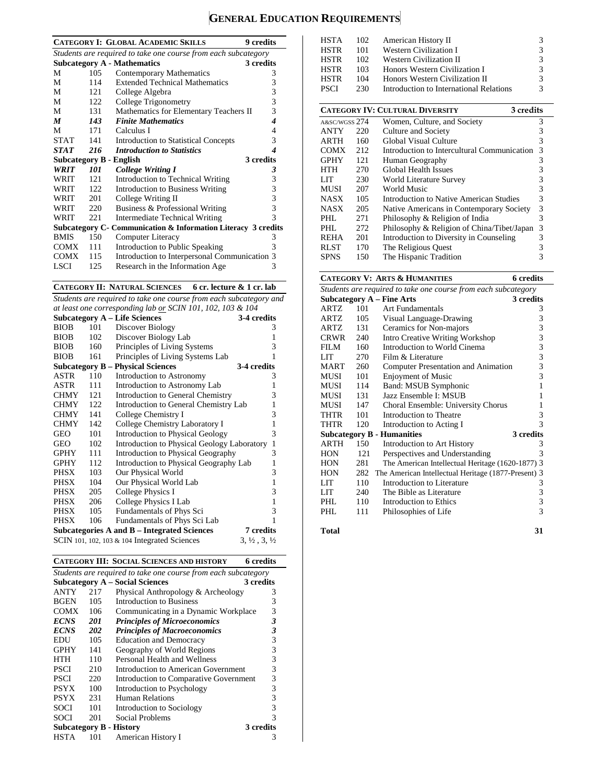# **GENERAL EDUCATION REQUIREMENTS**

|                                                                |      | <b>CATEGORY I: GLOBAL ACADEMIC SKILLS</b><br><b>9</b> credits  |   |  |  |  |
|----------------------------------------------------------------|------|----------------------------------------------------------------|---|--|--|--|
| Students are required to take one course from each subcategory |      |                                                                |   |  |  |  |
|                                                                |      | <b>Subcategory A - Mathematics</b><br>3 credits                |   |  |  |  |
| M                                                              | 105  | Contemporary Mathematics                                       | 3 |  |  |  |
| М                                                              | 114  | <b>Extended Technical Mathematics</b>                          | 3 |  |  |  |
| M                                                              | 121  | College Algebra                                                | 3 |  |  |  |
| М                                                              | 122  | College Trigonometry                                           | 3 |  |  |  |
| М                                                              | 131  | Mathematics for Elementary Teachers II                         | 3 |  |  |  |
| $\boldsymbol{M}$                                               | 143  | <b>Finite Mathematics</b>                                      | 4 |  |  |  |
| М                                                              | 171  | Calculus I                                                     | 4 |  |  |  |
| STAT                                                           | 141  | <b>Introduction to Statistical Concepts</b>                    | 3 |  |  |  |
| <b>STAT</b>                                                    | 216  | <b>Introduction to Statistics</b>                              | 4 |  |  |  |
|                                                                |      | 3 credits<br><b>Subcategory B - English</b>                    |   |  |  |  |
| <b>WRIT</b>                                                    | 101  | <b>College Writing I</b>                                       | 3 |  |  |  |
| WRIT                                                           | 121  | Introduction to Technical Writing                              | 3 |  |  |  |
| WRIT                                                           | 122. | <b>Introduction to Business Writing</b>                        | 3 |  |  |  |
| WRIT                                                           | 201  | College Writing II                                             | 3 |  |  |  |
| WRIT                                                           | 220  | Business & Professional Writing                                | 3 |  |  |  |
| WRIT                                                           | 221  | Intermediate Technical Writing                                 | 3 |  |  |  |
|                                                                |      | Subcategory C - Communication & Information Literacy 3 credits |   |  |  |  |
| <b>BMIS</b>                                                    | 150  | Computer Literacy                                              | 3 |  |  |  |
| COMX                                                           | 111  | Introduction to Public Speaking                                | 3 |  |  |  |
| <b>COMX</b>                                                    | 115  | Introduction to Interpersonal Communication 3                  |   |  |  |  |
| LSCI                                                           | 125  | Research in the Information Age                                | 3 |  |  |  |
|                                                                |      |                                                                |   |  |  |  |

**CATEGORY II: NATURAL SCIENCES 6 cr. lecture & 1 cr. lab**

*Students are required to take one course from each subcategory and at least one corresponding lab or SCIN 101, 102, 103 & 104*

|             |     | <b>Subcategory A - Life Sciences</b>            | 3-4 credits                      |
|-------------|-----|-------------------------------------------------|----------------------------------|
| <b>BIOB</b> | 101 | Discover Biology                                | 3                                |
| <b>BIOB</b> | 102 | Discover Biology Lab                            | 1                                |
| <b>BIOB</b> | 160 | Principles of Living Systems                    | 3                                |
| <b>BIOB</b> | 161 | Principles of Living Systems Lab                | 1                                |
|             |     | <b>Subcategory B – Physical Sciences</b>        | 3-4 credits                      |
| ASTR        | 110 | Introduction to Astronomy                       | 3                                |
| ASTR        | 111 | Introduction to Astronomy Lab                   | 1                                |
| <b>CHMY</b> | 121 | Introduction to General Chemistry               | 3                                |
| <b>CHMY</b> | 122 | Introduction to General Chemistry Lab           | 1                                |
| <b>CHMY</b> | 141 | College Chemistry I                             | 3                                |
| <b>CHMY</b> | 142 | College Chemistry Laboratory I                  | 1                                |
| GEO         | 101 | <b>Introduction to Physical Geology</b>         | 3                                |
| GEO         | 102 | Introduction to Physical Geology Laboratory     | 1                                |
| <b>GPHY</b> | 111 | Introduction to Physical Geography              | 3                                |
| <b>GPHY</b> | 112 | Introduction to Physical Geography Lab          | 1                                |
| PHSX        | 103 | Our Physical World                              | 3                                |
| PHSX        | 104 | Our Physical World Lab                          | 1                                |
| PHSX        | 205 | College Physics I                               | 3                                |
| PHSX        | 206 | College Physics I Lab                           | 1                                |
| PHSX        | 105 | Fundamentals of Phys Sci                        | 3                                |
| <b>PHSX</b> | 106 | Fundamentals of Phys Sci Lab                    | 1                                |
|             |     | Subcategories A and B – Integrated Sciences     | 7 credits                        |
|             |     | SCIN 101, 102, 103 $\&$ 104 Integrated Sciences | $3, \frac{1}{2}, 3, \frac{1}{2}$ |

**CATEGORY III: SOCIAL SCIENCES AND HISTORY 6 credits**

| Students are required to take one course from each subcategory |     |                                        |           |  |  |
|----------------------------------------------------------------|-----|----------------------------------------|-----------|--|--|
|                                                                |     | <b>Subcategory A - Social Sciences</b> | 3 credits |  |  |
| ANTY                                                           | 217 | Physical Anthropology & Archeology     | 3         |  |  |
| <b>BGEN</b>                                                    | 105 | Introduction to Business               | 3         |  |  |
| <b>COMX</b>                                                    | 106 | Communicating in a Dynamic Workplace   | 3         |  |  |
| <b>ECNS</b>                                                    | 201 | <b>Principles of Microeconomics</b>    | 3         |  |  |
| <b>ECNS</b>                                                    | 202 | <b>Principles of Macroeconomics</b>    | 3         |  |  |
| EDU                                                            | 105 | <b>Education and Democracy</b>         | 3         |  |  |
| <b>GPHY</b>                                                    | 141 | Geography of World Regions             | 3         |  |  |
| HTH                                                            | 110 | Personal Health and Wellness           | 3         |  |  |
| <b>PSCI</b>                                                    | 210 | Introduction to American Government    | 3         |  |  |
| PSCI                                                           | 220 | Introduction to Comparative Government | 3         |  |  |
| <b>PSYX</b>                                                    | 100 | Introduction to Psychology             | 3         |  |  |
| <b>PSYX</b>                                                    | 231 | <b>Human Relations</b>                 | 3         |  |  |
| SOCI                                                           | 101 | Introduction to Sociology              | 3         |  |  |
| SOCI                                                           | 201 | Social Problems                        | 3         |  |  |
|                                                                |     | <b>Subcategory B - History</b>         | 3 credits |  |  |
| HSTA                                                           | 101 | American History I                     | 3         |  |  |
|                                                                |     |                                        |           |  |  |

| <b>HSTA</b>   | 102 | American History II                                 | 3 |
|---------------|-----|-----------------------------------------------------|---|
| HSTR          | 101 | Western Civilization I                              | 3 |
| <b>HSTR</b>   | 102 | <b>Western Civilization II</b>                      | 3 |
| <b>HSTR</b>   | 103 | Honors Western Civilization I                       | 3 |
| <b>HSTR</b>   | 104 | Honors Western Civilization II                      | 3 |
| <b>PSCI</b>   | 230 | Introduction to International Relations             | 3 |
|               |     |                                                     |   |
|               |     | <b>CATEGORY IV: CULTURAL DIVERSITY</b><br>3 credits |   |
| A&SC/WGSS 274 |     | Women, Culture, and Society                         | 3 |
| ANTY          | 220 | Culture and Society                                 | 3 |
| ARTH          | 160 | Global Visual Culture                               | 3 |
| COMX          | 212 | Introduction to Intercultural Communication         | 3 |
| <b>GPHY</b>   | 121 | Human Geography                                     | 3 |
| HTH           | 270 | Global Health Issues                                | 3 |
| LIT.          | 230 | World Literature Survey                             | 3 |
| MUSI          | 207 | World Music                                         | 3 |
| NASX          | 105 | Introduction to Native American Studies             | 3 |
| NASX          | 205 | Native Americans in Contemporary Society            | 3 |
| PHL.          | 271 | Philosophy & Religion of India                      | 3 |
| PHL           | 272 | Philosophy & Religion of China/Tibet/Japan          | 3 |
| <b>REHA</b>   | 201 | Introduction to Diversity in Counseling             | 3 |
| RLST          | 170 | The Religious Quest                                 | 3 |
| SPNS          | 150 | The Hispanic Tradition                              | 3 |

# **CATEGORY V: ARTS & HUMANITIES 6 credits**

| Students are required to take one course from each subcategory |     |                                                     |                |  |  |
|----------------------------------------------------------------|-----|-----------------------------------------------------|----------------|--|--|
|                                                                |     | Subcategory $A$ – Fine Arts                         | 3 credits      |  |  |
| ARTZ                                                           | 101 | <b>Art Fundamentals</b>                             | 3              |  |  |
| ARTZ                                                           | 105 | Visual Language-Drawing                             | 3              |  |  |
| ARTZ                                                           | 131 | Ceramics for Non-majors                             | 3              |  |  |
| CRWR                                                           | 240 | Intro Creative Writing Workshop                     | 3              |  |  |
| <b>FILM</b>                                                    | 160 | Introduction to World Cinema                        | 3              |  |  |
| LIT                                                            | 270 | Film & Literature                                   | $\mathfrak{Z}$ |  |  |
| <b>MART</b>                                                    | 260 | Computer Presentation and Animation                 | 3              |  |  |
| MUSI                                                           | 101 | <b>Enjoyment of Music</b>                           | 3              |  |  |
| MUSI                                                           | 114 | Band: MSUB Symphonic                                | $\mathbf{1}$   |  |  |
| MUSI                                                           | 131 | Jazz Ensemble I: MSUB                               | 1              |  |  |
| MUSI                                                           | 147 | Choral Ensemble: University Chorus                  | 1              |  |  |
| THTR                                                           | 101 | Introduction to Theatre                             | 3              |  |  |
| THTR                                                           | 120 | Introduction to Acting I                            | 3              |  |  |
|                                                                |     | <b>Subcategory B - Humanities</b>                   | 3 credits      |  |  |
| ARTH                                                           | 150 | Introduction to Art History                         | 3              |  |  |
| <b>HON</b>                                                     | 121 | Perspectives and Understanding                      | 3              |  |  |
| <b>HON</b>                                                     | 281 | The American Intellectual Heritage (1620-1877) 3    |                |  |  |
| <b>HON</b>                                                     | 282 | The American Intellectual Heritage (1877-Present) 3 |                |  |  |
| LIT                                                            | 110 | Introduction to Literature                          | 3              |  |  |
| LIT                                                            | 240 | The Bible as Literature                             | 3              |  |  |
| PHL                                                            | 110 | Introduction to Ethics                              | 3              |  |  |
| PHL                                                            | 111 | Philosophies of Life                                | 3              |  |  |
|                                                                |     |                                                     |                |  |  |

**Total 31**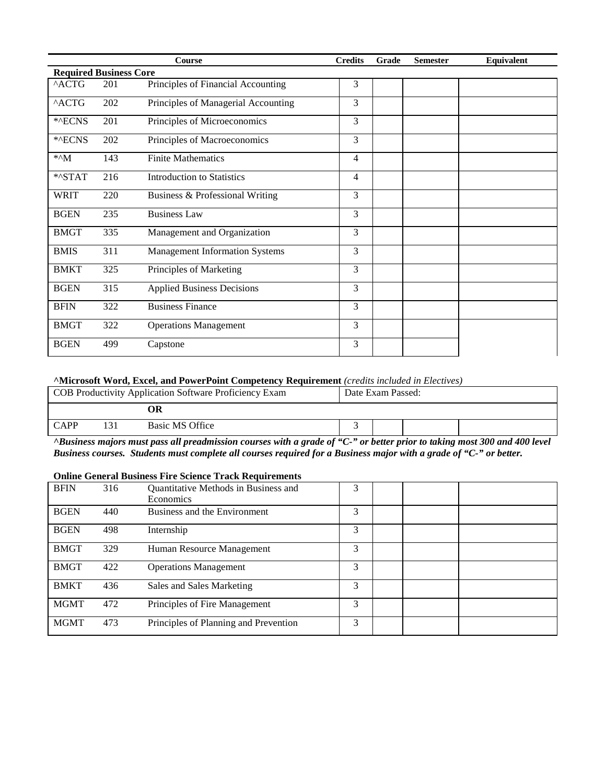|                               |     | <b>Course</b>                         | <b>Credits</b> | Grade | <b>Semester</b> | Equivalent |
|-------------------------------|-----|---------------------------------------|----------------|-------|-----------------|------------|
| <b>Required Business Core</b> |     |                                       |                |       |                 |            |
| ^ACTG                         | 201 | Principles of Financial Accounting    | 3              |       |                 |            |
| $^{\wedge}$ ACTG              | 202 | Principles of Managerial Accounting   | 3              |       |                 |            |
| *^ECNS                        | 201 | Principles of Microeconomics          | 3              |       |                 |            |
| *^ECNS                        | 202 | Principles of Macroeconomics          | 3              |       |                 |            |
| $*^M$                         | 143 | <b>Finite Mathematics</b>             | $\overline{4}$ |       |                 |            |
| *^STAT                        | 216 | <b>Introduction to Statistics</b>     | 4              |       |                 |            |
| <b>WRIT</b>                   | 220 | Business & Professional Writing       | 3              |       |                 |            |
| <b>BGEN</b>                   | 235 | <b>Business Law</b>                   | 3              |       |                 |            |
| <b>BMGT</b>                   | 335 | Management and Organization           | 3              |       |                 |            |
| <b>BMIS</b>                   | 311 | <b>Management Information Systems</b> | 3              |       |                 |            |
| <b>BMKT</b>                   | 325 | Principles of Marketing               | 3              |       |                 |            |
| <b>BGEN</b>                   | 315 | <b>Applied Business Decisions</b>     | 3              |       |                 |            |
| <b>BFIN</b>                   | 322 | <b>Business Finance</b>               | 3              |       |                 |            |
| <b>BMGT</b>                   | 322 | <b>Operations Management</b>          | 3              |       |                 |            |
| <b>BGEN</b>                   | 499 | Capstone                              | 3              |       |                 |            |

#### **^Microsoft Word, Excel, and PowerPoint Competency Requirement** *(credits included in Electives)*

| COB Productivity Application Software Proficiency Exam |  | Date Exam Passed: |  |  |  |  |                      |   |
|--------------------------------------------------------|--|-------------------|--|--|--|--|----------------------|---|
|                                                        |  |                   |  |  |  |  |                      |   |
| <b>CAPP</b>                                            |  | Basic MS Office   |  |  |  |  |                      |   |
| $\sim$ $\sim$ $\sim$                                   |  | $-1$<br>$\sim$    |  |  |  |  | $\sim$ $\sim$ $\sim$ | . |

*^Business majors must pass all preadmission courses with a grade of "C-" or better prior to taking most 300 and 400 level Business courses. Students must complete all courses required for a Business major with a grade of "C-" or better.*

#### **Online General Business Fire Science Track Requirements**

| <b>BFIN</b> | 316 | Quantitative Methods in Business and<br><b>Economics</b> | 3 |  |  |
|-------------|-----|----------------------------------------------------------|---|--|--|
| <b>BGEN</b> | 440 | Business and the Environment                             | 3 |  |  |
| <b>BGEN</b> | 498 | Internship                                               | 3 |  |  |
| <b>BMGT</b> | 329 | Human Resource Management                                | 3 |  |  |
| <b>BMGT</b> | 422 | <b>Operations Management</b>                             | 3 |  |  |
| <b>BMKT</b> | 436 | Sales and Sales Marketing                                | 3 |  |  |
| <b>MGMT</b> | 472 | Principles of Fire Management                            | 3 |  |  |
| <b>MGMT</b> | 473 | Principles of Planning and Prevention                    | 3 |  |  |